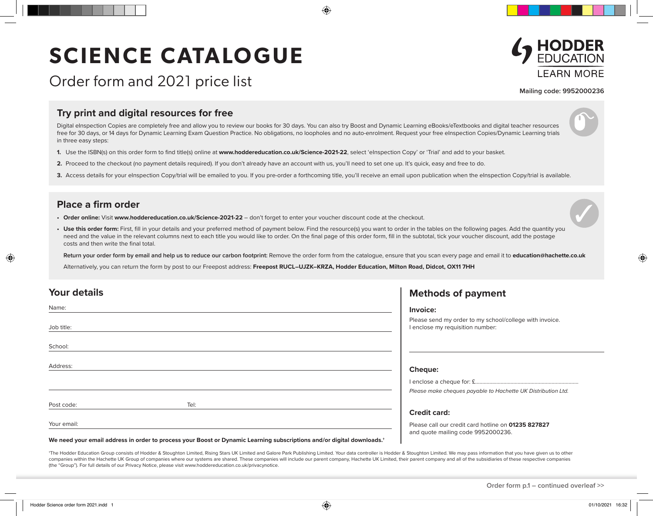## **SCIENCE CATALOGUE**



**Mailing code: 9952000236**

## **Try print and digital resources for free**

Order form and 2021 price list

Digital eInspection Copies are completely free and allow you to review our books for 30 days. You can also try Boost and Dynamic Learning eBooks/eTextbooks and digital teacher resources free for 30 days, or 14 days for Dynamic Learning Exam Question Practice. No obligations, no loopholes and no auto-enrolment. Request your free eInspection Copies/Dynamic Learning trials in three easy steps:

- **1.** Use the ISBN(s) on this order form to find title(s) online at **www.hoddereducation.co.uk/Science-2021-22**, select 'eInspection Copy' or 'Trial' and add to your basket.
- **2.** Proceed to the checkout (no payment details required). If you don't already have an account with us, you'll need to set one up. It's quick, easy and free to do.
- 3. Access details for your eInspection Copy/trial will be emailed to you. If you pre-order a forthcoming title, you'll receive an email upon publication when the eInspection Copy/trial is available.

## **Place a firm order**

- **• Order online:** Visit **www.hoddereducation.co.uk/Science-2021-22** don't forget to enter your voucher discount code at the checkout.
- Use this order form: First, fill in your details and your preferred method of payment below. Find the resource(s) you want to order in the tables on the following pages. Add the quantity you need and the value in the relevant columns next to each title you would like to order. On the final page of this order form, fill in the subtotal, tick your voucher discount, add the postage costs and then write the final total.

**Return your order form by email and help us to reduce our carbon footprint:** Remove the order form from the catalogue, ensure that you scan every page and email it to **education@hachette.co.uk**

Alternatively, you can return the form by post to our Freepost address: **Freepost RUCL–UJZK–KRZA, Hodder Education, Milton Road, Didcot, OX11 7HH**

| <b>Your details</b> | <b>Methods of payment</b>                                                                   |
|---------------------|---------------------------------------------------------------------------------------------|
| Name:               | Invoice:                                                                                    |
| Job title:          | Please send my order to my school/college with invoice.<br>I enclose my requisition number: |
| School:             |                                                                                             |
| Address:            | Cheque:                                                                                     |
|                     |                                                                                             |
|                     | Please make cheques payable to Hachette UK Distribution Ltd.                                |
| Post code:<br>Tel:  |                                                                                             |
|                     | <b>Credit card:</b>                                                                         |
| Your email:         | Please call our credit card hotline on 01235 827827<br>and quote mailing code 9952000236.   |

**We need your email address in order to process your Boost or Dynamic Learning subscriptions and/or digital downloads.†**

\*The Hodder Education Group consists of Hodder & Stoughton Limited, Rising Stars UK Limited and Galore Park Publishing Limited. Your data controller is Hodder & Stoughton Limited. We may pass information that you have give companies within the Hachette UK Group of companies where our systems are shared. These companies will include our parent company, Hachette UK Limited, their parent company and all of the subsidiaries of these respective c (the "Group"). For full details of our Privacy Notice, please visit www.hoddereducation.co.uk/privacynotice.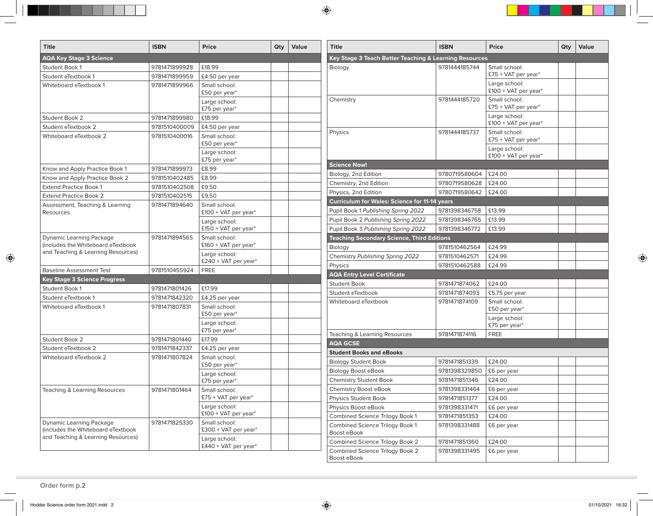| <b>Title</b>                                                             | <b>ISBN</b>   | <b>Price</b>                          | Qty | Value | <b>Title</b>                                           | <b>ISBN</b>   | <b>Price</b>                            | Qty | Value |
|--------------------------------------------------------------------------|---------------|---------------------------------------|-----|-------|--------------------------------------------------------|---------------|-----------------------------------------|-----|-------|
| <b>AQA Key Stage 3 Science</b>                                           |               |                                       |     |       | Key Stage 3 Teach Better Teaching & Learning Resources |               |                                         |     |       |
| Student Book 1                                                           | 9781471899928 | £18.99                                |     |       | Biology                                                | 9781444185744 | Small school:                           |     |       |
| Student eTextbook 1                                                      | 9781471899959 | £4.50 per year                        |     |       |                                                        |               | £75 + VAT per year*                     |     |       |
| Whiteboard eTextbook 1                                                   | 9781471899966 | Small school:<br>£50 per year*        |     |       |                                                        |               | Large school:<br>$£100 + VAT$ per year* |     |       |
|                                                                          |               | Large school:<br>£75 per year*        |     |       | Chemistry                                              | 9781444185720 | Small school:<br>£75 + VAT per year*    |     |       |
| Student Book 2                                                           | 9781471899980 | £18.99                                |     |       |                                                        |               | Large school:                           |     |       |
| Student eTextbook 2                                                      | 9781510400009 | £4.50 per year                        |     |       |                                                        |               | £100 + VAT per year*                    |     |       |
| Whiteboard eTextbook 2                                                   | 9781510400016 | Small school:<br>£50 per year*        |     |       | Physics                                                | 9781444185737 | Small school:<br>£75 + VAT per year*    |     |       |
|                                                                          |               | Large school:<br>£75 per year*        |     |       |                                                        |               | Large school:<br>$£100 + VAT$ per year* |     |       |
| Know and Apply Practice Book 1                                           | 9781471899973 | £8.99                                 |     |       | <b>Science Now!</b>                                    |               |                                         |     |       |
| Know and Apply Practice Book 2                                           | 9781510402485 | £8.99                                 |     |       | Biology, 2nd Edition                                   | 9780719580604 | £24.00                                  |     |       |
| <b>Extend Practice Book 1</b>                                            | 9781510402508 | £9.50                                 |     |       | Chemistry, 2nd Edition                                 | 9780719580628 | £24.00                                  |     |       |
| <b>Extend Practice Book 2</b>                                            | 9781510402515 | £9.50                                 |     |       | Physics, 2nd Edition                                   | 9780719580642 | £24.00                                  |     |       |
| Assessment, Teaching & Learning                                          | 9781471894640 | Small school:                         |     |       | <b>Curriculum for Wales: Science for 11-14 years</b>   |               |                                         |     |       |
| Resources                                                                |               | $£100 + VAT$ per year*                |     |       | Pupil Book 1 Publishing Spring 2022                    | 9781398346758 | £13.99                                  |     |       |
|                                                                          |               | Large school:                         |     |       | Pupil Book 2 Publishing Spring 2022                    | 9781398346765 | £13.99                                  |     |       |
|                                                                          |               | $£150 + VAT$ per year*                |     |       | Pupil Book 3 Publishing Spring 2022                    | 9781398346772 | £13.99                                  |     |       |
| <b>Dynamic Learning Package</b>                                          | 9781471894565 | Small school:                         |     |       | <b>Teaching Secondary Science, Third Editions</b>      |               |                                         |     |       |
| (includes the Whiteboard eTextbook<br>and Teaching & Learning Resources) |               | £160 + VAT per year*                  |     |       | Biology                                                | 9781510462564 | £24.99                                  |     |       |
|                                                                          |               | Large school:<br>£240 + VAT per year* |     |       | Chemistry Publishing Spring 2022                       | 9781510462571 | £24.99                                  |     |       |
| <b>Baseline Assessment Test</b>                                          | 9781510455924 | <b>FREE</b>                           |     |       | Physics                                                | 9781510462588 | £24.99                                  |     |       |
| <b>Key Stage 3 Science Progress</b>                                      |               |                                       |     |       | <b>AQA Entry Level Certificate</b>                     |               |                                         |     |       |
| Student Book 1                                                           | 9781471801426 | £17.99                                |     |       | <b>Student Book</b>                                    | 9781471874062 | £24.00                                  |     |       |
| Student eTextbook 1                                                      | 9781471842320 | £4.25 per year                        |     |       | Student eTextbook                                      | 9781471874093 | £5.75 per year                          |     |       |
| Whiteboard eTextbook 1                                                   | 9781471807831 | Small school:                         |     |       | Whiteboard eTextbook                                   | 9781471874109 | Small school:<br>£50 per year*          |     |       |
|                                                                          |               | £50 per year*<br>Large school:        |     |       |                                                        |               | Large school:<br>£75 per year*          |     |       |
|                                                                          |               | £75 per year*                         |     |       | Teaching & Learning Resources                          | 9781471874116 | <b>FREE</b>                             |     |       |
| Student Book 2                                                           | 9781471801440 | £17.99                                |     |       | <b>AQA GCSE</b>                                        |               |                                         |     |       |
| Student eTextbook 2                                                      | 9781471842337 | £4.25 per year                        |     |       | <b>Student Books and eBooks</b>                        |               |                                         |     |       |
| Whiteboard eTextbook 2                                                   | 9781471807824 | Small school:                         |     |       | <b>Biology Student Book</b>                            | 9781471851339 | £24.00                                  |     |       |
|                                                                          |               | £50 per year*                         |     |       | <b>Biology Boost eBook</b>                             | 9781398329850 | £6 per year                             |     |       |
|                                                                          |               | Large school:<br>£75 per year*        |     |       | <b>Chemistry Student Book</b>                          | 9781471851346 | £24.00                                  |     |       |
| Teaching & Learning Resources                                            | 9781471801464 | Small school:                         |     |       | Chemistry Boost eBook                                  | 9781398331464 | £6 per year                             |     |       |
|                                                                          |               | £75 + VAT per year*                   |     |       | Physics Student Book                                   | 9781471851377 | £24.00                                  |     |       |
|                                                                          |               | Large school:                         |     |       | Physics Boost eBook                                    | 9781398331471 | £6 per year                             |     |       |
|                                                                          |               | £100 + VAT per year*                  |     |       | Combined Science Trilogy Book 1                        | 9781471851353 | £24.00                                  |     |       |
| Dynamic Learning Package<br>(includes the Whiteboard eTextbook           | 9781471825330 | Small school:<br>£300 + VAT per year* |     |       | Combined Science Trilogy Book 1<br>Boost eBook         | 9781398331488 | £6 per year                             |     |       |
| and Teaching & Learning Resources)                                       |               | Large school:                         |     |       | Combined Science Trilogy Book 2                        | 9781471851360 | £24.00                                  |     |       |
|                                                                          |               | $$440 + VAT$ per year*                |     |       | Combined Science Trilogy Book 2                        | 9781398331495 | £6 per year                             |     |       |
|                                                                          |               |                                       |     |       | Boost eBook                                            |               |                                         |     |       |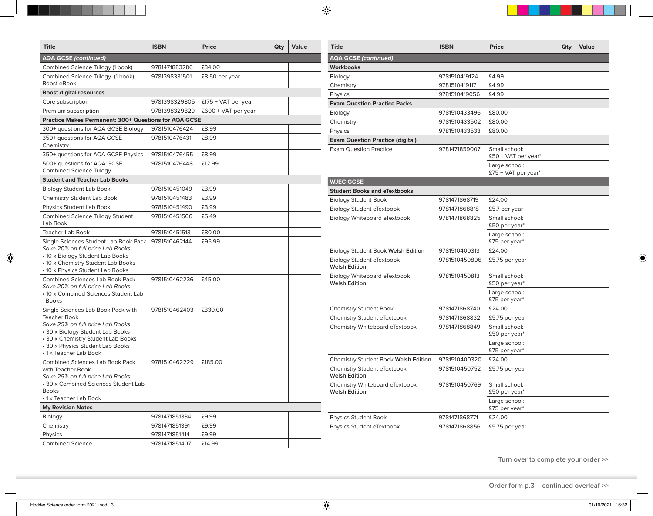| <b>Title</b>                                                           | <b>ISBN</b>   | Price                 | Qty | Value | <b>Title</b>                                             | <b>ISBN</b>   | Price                                | Qty | Value |
|------------------------------------------------------------------------|---------------|-----------------------|-----|-------|----------------------------------------------------------|---------------|--------------------------------------|-----|-------|
| <b>AQA GCSE (continued)</b>                                            |               |                       |     |       | <b>AQA GCSE (continued)</b>                              |               |                                      |     |       |
| Combined Science Trilogy (1 book)                                      | 9781471883286 | £34.00                |     |       | <b>Workbooks</b>                                         |               |                                      |     |       |
| Combined Science Trilogy (1 book)                                      | 9781398331501 | £8.50 per year        |     |       | Biology                                                  | 9781510419124 | £4.99                                |     |       |
| Boost eBook                                                            |               |                       |     |       | Chemistry                                                | 9781510419117 | £4.99                                |     |       |
| <b>Boost digital resources</b>                                         |               |                       |     |       | Physics                                                  | 9781510419056 | £4.99                                |     |       |
| Core subscription                                                      | 9781398329805 | $£175 + VAT$ per year |     |       | <b>Exam Question Practice Packs</b>                      |               |                                      |     |       |
| Premium subscription                                                   | 9781398329829 | $£600 + VAT$ per year |     |       | Biology                                                  | 9781510433496 | £80.00                               |     |       |
| <b>Practice Makes Permanent: 300+ Questions for AQA GCSE</b>           |               |                       |     |       | Chemistry                                                | 9781510433502 | £80.00                               |     |       |
| 300+ questions for AQA GCSE Biology                                    | 9781510476424 | £8.99                 |     |       | Physics                                                  | 9781510433533 | £80.00                               |     |       |
| 350+ questions for AQA GCSE<br>Chemistry                               | 9781510476431 | £8.99                 |     |       | <b>Exam Question Practice (digital)</b>                  |               |                                      |     |       |
| 350+ questions for AQA GCSE Physics                                    | 9781510476455 | £8.99                 |     |       | <b>Exam Question Practice</b>                            | 9781471859007 | Small school:<br>£50 + VAT per year* |     |       |
| 500+ questions for AQA GCSE<br><b>Combined Science Trilogy</b>         | 9781510476448 | £12.99                |     |       |                                                          |               | Large school:                        |     |       |
| <b>Student and Teacher Lab Books</b>                                   |               |                       |     |       |                                                          |               | $£75 + VAT$ per year*                |     |       |
| <b>Biology Student Lab Book</b>                                        | 9781510451049 | £3.99                 |     |       | <b>WJEC GCSE</b>                                         |               |                                      |     |       |
| Chemistry Student Lab Book                                             | 9781510451483 | £3.99                 |     |       | <b>Student Books and eTextbooks</b>                      |               |                                      |     |       |
|                                                                        | 9781510451490 | £3.99                 |     |       | <b>Biology Student Book</b>                              | 9781471868719 | £24.00                               |     |       |
| Physics Student Lab Book                                               |               |                       |     |       | <b>Biology Student eTextbook</b>                         | 9781471868818 | £5.7 per year                        |     |       |
| Combined Science Trilogy Student<br>Lab Book                           | 9781510451506 | £5.49                 |     |       | Biology Whiteboard eTextbook                             | 9781471868825 | Small school:<br>£50 per year*       |     |       |
| <b>Teacher Lab Book</b>                                                | 9781510451513 | £80.00                |     |       |                                                          |               | Large school:                        |     |       |
| Single Sciences Student Lab Book Pack                                  | 9781510462144 | £95.99                |     |       |                                                          |               | £75 per year*                        |     |       |
| Save 20% on full price Lab Books<br>• 10 x Biology Student Lab Books   |               |                       |     |       | Biology Student Book Welsh Edition                       | 9781510400313 | £24.00                               |     |       |
| • 10 x Chemistry Student Lab Books<br>• 10 x Physics Student Lab Books |               |                       |     |       | <b>Biology Student eTextbook</b><br><b>Welsh Edition</b> | 9781510450806 | £5.75 per year                       |     |       |
| <b>Combined Sciences Lab Book Pack</b>                                 | 9781510462236 | £45.00                |     |       | Biology Whiteboard eTextbook                             | 9781510450813 | Small school:                        |     |       |
| Save 20% on full price Lab Books                                       |               |                       |     |       | <b>Welsh Edition</b>                                     |               | £50 per year*                        |     |       |
| • 10 x Combined Sciences Student Lab<br><b>Books</b>                   |               |                       |     |       |                                                          |               | Large school:<br>£75 per year*       |     |       |
| Single Sciences Lab Book Pack with                                     | 9781510462403 | £330.00               |     |       | <b>Chemistry Student Book</b>                            | 9781471868740 | £24.00                               |     |       |
| <b>Teacher Book</b>                                                    |               |                       |     |       | Chemistry Student eTextbook                              | 9781471868832 | £5.75 per year                       |     |       |
| Save 25% on full price Lab Books                                       |               |                       |     |       | Chemistry Whiteboard eTextbook                           | 9781471868849 | Small school:                        |     |       |
| 30 x Biology Student Lab Books<br>30 x Chemistry Student Lab Books     |               |                       |     |       |                                                          |               | £50 per year*                        |     |       |
| 30 x Physics Student Lab Books<br>• 1 x Teacher Lab Book               |               |                       |     |       |                                                          |               | Large school:<br>£75 per year*       |     |       |
| <b>Combined Sciences Lab Book Pack</b>                                 | 9781510462229 | £185.00               |     |       | Chemistry Student Book Welsh Edition                     | 9781510400320 | £24.00                               |     |       |
| with Teacher Book<br>Save 25% on full price Lab Books                  |               |                       |     |       | Chemistry Student eTextbook<br><b>Welsh Edition</b>      | 9781510450752 | £5.75 per year                       |     |       |
| • 30 x Combined Sciences Student Lab<br><b>Books</b>                   |               |                       |     |       | Chemistry Whiteboard eTextbook<br><b>Welsh Edition</b>   | 9781510450769 | Small school:<br>£50 per year*       |     |       |
| • 1 x Teacher Lab Book                                                 |               |                       |     |       |                                                          |               | Large school:                        |     |       |
| <b>My Revision Notes</b>                                               |               |                       |     |       |                                                          |               | £75 per year*                        |     |       |
| Biology                                                                | 9781471851384 | £9.99                 |     |       | <b>Physics Student Book</b>                              | 9781471868771 | £24.00                               |     |       |
| Chemistry                                                              | 9781471851391 | £9.99                 |     |       | Physics Student eTextbook                                | 9781471868856 | £5.75 per year                       |     |       |
| Physics                                                                | 9781471851414 | £9.99                 |     |       |                                                          |               |                                      |     |       |
| <b>Combined Science</b>                                                | 9781471851407 | £14.99                |     |       |                                                          |               |                                      |     |       |

**Turn over to complete your order >>**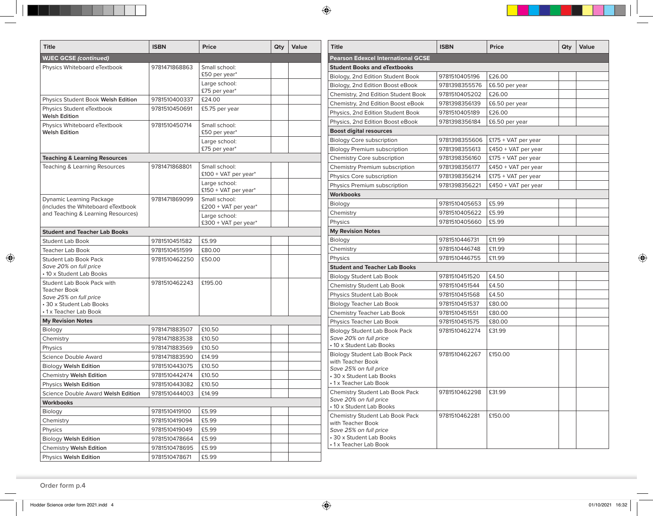| <b>Title</b>                                                          | <b>ISBN</b>   | Price                                 | Qty | Value | <b>Title</b>                                              | <b>ISBN</b>   | Price                 | Qty | Value |
|-----------------------------------------------------------------------|---------------|---------------------------------------|-----|-------|-----------------------------------------------------------|---------------|-----------------------|-----|-------|
| <b>WJEC GCSE (continued)</b>                                          |               |                                       |     |       | <b>Pearson Edexcel International GCSE</b>                 |               |                       |     |       |
| Physics Whiteboard eTextbook                                          | 9781471868863 | Small school:                         |     |       | <b>Student Books and eTextbooks</b>                       |               |                       |     |       |
|                                                                       |               | £50 per year*                         |     |       | Biology, 2nd Edition Student Book                         | 9781510405196 | £26.00                |     |       |
|                                                                       |               | Large school:                         |     |       | Biology, 2nd Edition Boost eBook                          | 9781398355576 | £6.50 per year        |     |       |
|                                                                       |               | £75 per year*                         |     |       | Chemistry, 2nd Edition Student Book                       | 9781510405202 | £26.00                |     |       |
| Physics Student Book Welsh Edition                                    | 9781510400337 | £24.00                                |     |       | Chemistry, 2nd Edition Boost eBook                        | 9781398356139 | £6.50 per year        |     |       |
| Physics Student eTextbook<br><b>Welsh Edition</b>                     | 9781510450691 | £5.75 per year                        |     |       | Physics, 2nd Edition Student Book                         | 9781510405189 | £26.00                |     |       |
| Physics Whiteboard eTextbook                                          | 9781510450714 | Small school:                         |     |       | Physics, 2nd Edition Boost eBook                          | 9781398356184 | £6.50 per year        |     |       |
| <b>Welsh Edition</b>                                                  |               | £50 per year*                         |     |       | <b>Boost digital resources</b>                            |               |                       |     |       |
|                                                                       |               | Large school:                         |     |       | <b>Biology Core subscription</b>                          | 9781398355606 | £175 + VAT per year   |     |       |
|                                                                       |               | £75 per year*                         |     |       | <b>Biology Premium subscription</b>                       | 9781398355613 | £450 + VAT per year   |     |       |
| <b>Teaching &amp; Learning Resources</b>                              |               |                                       |     |       | Chemistry Core subscription                               | 9781398356160 | £175 + VAT per year   |     |       |
| Teaching & Learning Resources                                         | 9781471868801 | Small school:                         |     |       | Chemistry Premium subscription                            | 9781398356177 | $£450 + VAT$ per year |     |       |
|                                                                       |               | $£100 + VAT$ per year <sup>*</sup>    |     |       | Physics Core subscription                                 | 9781398356214 | $£175 + VAT$ per year |     |       |
|                                                                       |               | Large school:                         |     |       | Physics Premium subscription                              | 9781398356221 | £450 + VAT per year   |     |       |
|                                                                       |               | £150 + VAT per year*                  |     |       | <b>Workbooks</b>                                          |               |                       |     |       |
| <b>Dynamic Learning Package</b><br>(includes the Whiteboard eTextbook | 9781471869099 | Small school:<br>£200 + VAT per year* |     |       | Biology                                                   | 9781510405653 | £5.99                 |     |       |
| and Teaching & Learning Resources)                                    |               | Large school:                         |     |       | Chemistry                                                 | 9781510405622 | £5.99                 |     |       |
|                                                                       |               | £300 + VAT per year*                  |     |       | Physics                                                   | 9781510405660 | £5.99                 |     |       |
| <b>Student and Teacher Lab Books</b>                                  |               |                                       |     |       | <b>My Revision Notes</b>                                  |               |                       |     |       |
| <b>Student Lab Book</b>                                               | 9781510451582 | £5.99                                 |     |       | Biology                                                   | 9781510446731 | £11.99                |     |       |
| Teacher Lab Book                                                      | 9781510451599 | £80.00                                |     |       | Chemistry                                                 | 9781510446748 | £11.99                |     |       |
| <b>Student Lab Book Pack</b>                                          | 9781510462250 | £50.00                                |     |       | Physics                                                   | 9781510446755 | £11.99                |     |       |
| Save 20% on full price                                                |               |                                       |     |       | <b>Student and Teacher Lab Books</b>                      |               |                       |     |       |
| • 10 x Student Lab Books                                              |               |                                       |     |       | <b>Biology Student Lab Book</b>                           | 9781510451520 | £4.50                 |     |       |
| Student Lab Book Pack with                                            | 9781510462243 | £195.00                               |     |       | <b>Chemistry Student Lab Book</b>                         | 9781510451544 | £4.50                 |     |       |
| <b>Teacher Book</b><br>Save 25% on full price                         |               |                                       |     |       | Physics Student Lab Book                                  | 9781510451568 | £4.50                 |     |       |
| • 30 x Student Lab Books                                              |               |                                       |     |       | <b>Biology Teacher Lab Book</b>                           | 9781510451537 | £80.00                |     |       |
| •1 x Teacher Lab Book                                                 |               |                                       |     |       | Chemistry Teacher Lab Book                                | 9781510451551 | £80.00                |     |       |
| <b>My Revision Notes</b>                                              |               |                                       |     |       | Physics Teacher Lab Book                                  | 9781510451575 | £80.00                |     |       |
| Biology                                                               | 9781471883507 | £10.50                                |     |       | <b>Biology Student Lab Book Pack</b>                      | 9781510462274 | £31.99                |     |       |
| Chemistry                                                             | 9781471883538 | £10.50                                |     |       | Save 20% on full price                                    |               |                       |     |       |
| Physics                                                               | 9781471883569 | £10.50                                |     |       | • 10 x Student Lab Books                                  |               |                       |     |       |
| Science Double Award                                                  | 9781471883590 | £14.99                                |     |       | <b>Biology Student Lab Book Pack</b><br>with Teacher Book | 9781510462267 | £150.00               |     |       |
| <b>Biology Welsh Edition</b>                                          | 9781510443075 | £10.50                                |     |       | Save 25% on full price                                    |               |                       |     |       |
| Chemistry Welsh Edition                                               | 9781510442474 | £10.50                                |     |       | 30 x Student Lab Books                                    |               |                       |     |       |
| Physics Welsh Edition                                                 | 9781510443082 | £10.50                                |     |       | •1 x Teacher Lab Book                                     |               |                       |     |       |
| Science Double Award Welsh Edition                                    | 9781510444003 | £14.99                                |     |       | Chemistry Student Lab Book Pack                           | 9781510462298 | £31.99                |     |       |
| <b>Workbooks</b>                                                      |               |                                       |     |       | Save 20% on full price<br>• 10 x Student Lab Books        |               |                       |     |       |
| Biology                                                               | 9781510419100 | £5.99                                 |     |       | Chemistry Student Lab Book Pack                           | 9781510462281 | £150.00               |     |       |
| Chemistry                                                             | 9781510419094 | £5.99                                 |     |       | with Teacher Book                                         |               |                       |     |       |
| Physics                                                               | 9781510419049 | £5.99                                 |     |       | Save 25% on full price                                    |               |                       |     |       |
| <b>Biology Welsh Edition</b>                                          | 9781510478664 | £5.99                                 |     |       | 30 x Student Lab Books                                    |               |                       |     |       |
| <b>Chemistry Welsh Edition</b>                                        | 9781510478695 | £5.99                                 |     |       | •1 x Teacher Lab Book                                     |               |                       |     |       |
| Physics Welsh Edition                                                 | 9781510478671 | £5.99                                 |     |       |                                                           |               |                       |     |       |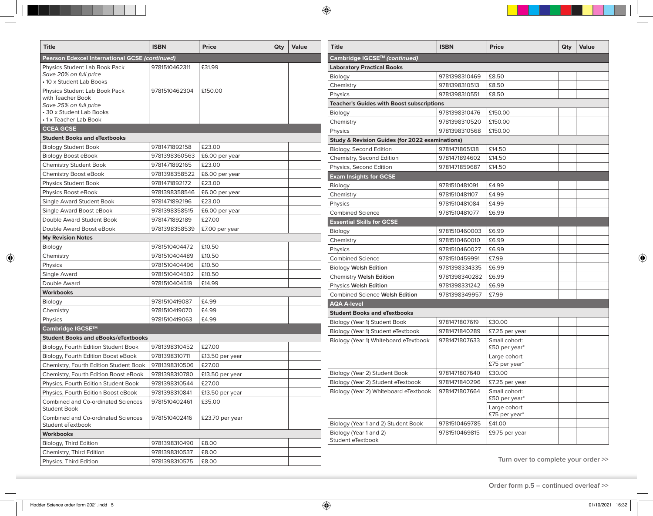| <b>Title</b>                                              | <b>ISBN</b>   | <b>Price</b>    | Qty | Value | <b>Title</b>                                               | <b>ISBN</b>   | <b>Price</b>                        | Qty | Value |
|-----------------------------------------------------------|---------------|-----------------|-----|-------|------------------------------------------------------------|---------------|-------------------------------------|-----|-------|
| <b>Pearson Edexcel International GCSE (continued)</b>     |               |                 |     |       | Cambridge IGCSE™ (continued)                               |               |                                     |     |       |
| Physics Student Lab Book Pack                             | 9781510462311 | £31.99          |     |       | <b>Laboratory Practical Books</b>                          |               |                                     |     |       |
| Save 20% on full price                                    |               |                 |     |       | Biology                                                    | 9781398310469 | £8.50                               |     |       |
| • 10 x Student Lab Books                                  |               |                 |     |       | Chemistry                                                  | 9781398310513 | £8.50                               |     |       |
| Physics Student Lab Book Pack<br>with Teacher Book        | 9781510462304 | £150.00         |     |       | Physics                                                    | 9781398310551 | £8.50                               |     |       |
| Save 25% on full price                                    |               |                 |     |       | <b>Teacher's Guides with Boost subscriptions</b>           |               |                                     |     |       |
| 30 x Student Lab Books                                    |               |                 |     |       | Biology                                                    | 9781398310476 | £150.00                             |     |       |
| •1 x Teacher Lab Book                                     |               |                 |     |       | Chemistry                                                  | 9781398310520 | £150.00                             |     |       |
| <b>CCEA GCSE</b>                                          |               |                 |     |       | Physics                                                    | 9781398310568 | £150.00                             |     |       |
| <b>Student Books and eTextbooks</b>                       |               |                 |     |       | <b>Study &amp; Revision Guides (for 2022 examinations)</b> |               |                                     |     |       |
| <b>Biology Student Book</b>                               | 9781471892158 | £23.00          |     |       | Biology, Second Edition                                    | 9781471865138 | £14.50                              |     |       |
| Biology Boost eBook                                       | 9781398360563 | £6.00 per year  |     |       | Chemistry, Second Edition                                  | 9781471894602 | £14.50                              |     |       |
| <b>Chemistry Student Book</b>                             | 9781471892165 | £23.00          |     |       | Physics, Second Edition                                    | 9781471859687 | £14.50                              |     |       |
| Chemistry Boost eBook                                     | 9781398358522 | £6.00 per year  |     |       | <b>Exam Insights for GCSE</b>                              |               |                                     |     |       |
| <b>Physics Student Book</b>                               | 9781471892172 | £23.00          |     |       | Biology                                                    | 9781510481091 | £4.99                               |     |       |
| Physics Boost eBook                                       | 9781398358546 | £6.00 per year  |     |       | Chemistry                                                  | 9781510481107 | £4.99                               |     |       |
| Single Award Student Book                                 | 9781471892196 | £23.00          |     |       | Physics                                                    | 9781510481084 | £4.99                               |     |       |
| Single Award Boost eBook                                  | 9781398358515 | £6.00 per year  |     |       | <b>Combined Science</b>                                    | 9781510481077 | £6.99                               |     |       |
| Double Award Student Book                                 | 9781471892189 | £27.00          |     |       | <b>Essential Skills for GCSE</b>                           |               |                                     |     |       |
| Double Award Boost eBook                                  | 9781398358539 | £7.00 per year  |     |       | Biology                                                    | 9781510460003 | £6.99                               |     |       |
| <b>My Revision Notes</b>                                  |               |                 |     |       | Chemistry                                                  | 9781510460010 | £6.99                               |     |       |
| Biology                                                   | 9781510404472 | £10.50          |     |       | Physics                                                    | 9781510460027 | £6.99                               |     |       |
| Chemistry                                                 | 9781510404489 | £10.50          |     |       | <b>Combined Science</b>                                    | 9781510459991 | £7.99                               |     |       |
| Physics                                                   | 9781510404496 | £10.50          |     |       | Biology Welsh Edition                                      | 9781398334335 | £6.99                               |     |       |
| Single Award                                              | 9781510404502 | £10.50          |     |       | Chemistry Welsh Edition                                    | 9781398340282 | £6.99                               |     |       |
| Double Award                                              | 9781510404519 | £14.99          |     |       | Physics Welsh Edition                                      | 9781398331242 | £6.99                               |     |       |
| <b>Workbooks</b>                                          |               |                 |     |       | Combined Science Welsh Edition                             | 9781398349957 | £7.99                               |     |       |
| Biology                                                   | 9781510419087 | £4.99           |     |       | <b>AQA A-level</b>                                         |               |                                     |     |       |
| Chemistry                                                 | 9781510419070 | £4.99           |     |       | <b>Student Books and eTextbooks</b>                        |               |                                     |     |       |
| Physics                                                   | 9781510419063 | £4.99           |     |       | Biology (Year 1) Student Book                              | 9781471807619 | £30.00                              |     |       |
| Cambridge IGCSE™                                          |               |                 |     |       | Biology (Year 1) Student eTextbook                         | 9781471840289 | £7.25 per year                      |     |       |
| <b>Student Books and eBooks/eTextbooks</b>                |               |                 |     |       | Biology (Year 1) Whiteboard eTextbook                      | 9781471807633 | Small cohort:                       |     |       |
| Biology, Fourth Edition Student Book                      | 9781398310452 | £27.00          |     |       |                                                            |               | £50 per year*                       |     |       |
| Biology, Fourth Edition Boost eBook                       | 9781398310711 | £13.50 per year |     |       |                                                            |               | Large cohort:                       |     |       |
| Chemistry, Fourth Edition Student Book                    | 9781398310506 | £27.00          |     |       |                                                            |               | £75 per year*                       |     |       |
| Chemistry, Fourth Edition Boost eBook                     | 9781398310780 | £13.50 per year |     |       | Biology (Year 2) Student Book                              | 9781471807640 | £30.00                              |     |       |
| Physics, Fourth Edition Student Book                      | 9781398310544 | £27.00          |     |       | Biology (Year 2) Student eTextbook                         | 9781471840296 | £7.25 per year                      |     |       |
| Physics, Fourth Edition Boost eBook                       | 9781398310841 | £13.50 per year |     |       | Biology (Year 2) Whiteboard eTextbook                      | 9781471807664 | Small cohort:                       |     |       |
| Combined and Co-ordinated Sciences<br><b>Student Book</b> | 9781510402461 | £35.00          |     |       |                                                            |               | £50 per year*<br>Large cohort:      |     |       |
| Combined and Co-ordinated Sciences<br>Student eTextbook   | 9781510402416 | £23.70 per year |     |       | Biology (Year 1 and 2) Student Book                        | 9781510469785 | £75 per year*<br>£41.00             |     |       |
| <b>Workbooks</b>                                          |               |                 |     |       | Biology (Year 1 and 2)                                     | 9781510469815 | £9.75 per year                      |     |       |
| Biology, Third Edition                                    | 9781398310490 | £8.00           |     |       | Student eTextbook                                          |               |                                     |     |       |
| Chemistry, Third Edition                                  | 9781398310537 | £8.00           |     |       |                                                            |               |                                     |     |       |
| Physics, Third Edition                                    | 9781398310575 | £8.00           |     |       |                                                            |               | Turn over to complete your order >> |     |       |
|                                                           |               |                 |     |       |                                                            |               |                                     |     |       |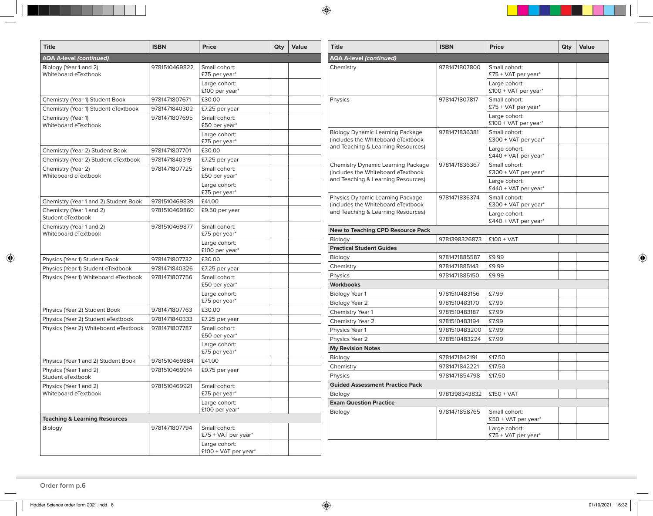| <b>Title</b>                                     | <b>ISBN</b>   | <b>Price</b>                           | Qty | Value | <b>Title</b>                                                                                                          | <b>ISBN</b>                | <b>Price</b>                                       | Qty | Value |
|--------------------------------------------------|---------------|----------------------------------------|-----|-------|-----------------------------------------------------------------------------------------------------------------------|----------------------------|----------------------------------------------------|-----|-------|
| <b>AQA A-level (continued)</b>                   |               |                                        |     |       | <b>AQA A-level (continued)</b>                                                                                        |                            |                                                    |     |       |
| Biology (Year 1 and 2)<br>Whiteboard eTextbook   | 9781510469822 | Small cohort:<br>£75 per year*         |     |       | Chemistry                                                                                                             | 9781471807800              | Small cohort:<br>$£75 + VAT$ per year <sup>*</sup> |     |       |
|                                                  |               | Large cohort:<br>£100 per year*        |     |       |                                                                                                                       |                            | Large cohort:<br>$£100 + VAT$ per year*            |     |       |
| Chemistry (Year 1) Student Book                  | 9781471807671 | £30.00                                 |     |       | Physics                                                                                                               | 9781471807817              | Small cohort:                                      |     |       |
| Chemistry (Year 1) Student eTextbook             | 9781471840302 | £7.25 per year                         |     |       |                                                                                                                       |                            | £75 + VAT per year*                                |     |       |
| Chemistry (Year 1)<br>Whiteboard eTextbook       | 9781471807695 | Small cohort:<br>£50 per year*         |     |       |                                                                                                                       |                            | Large cohort:<br>£100 + VAT per year*              |     |       |
|                                                  |               | Large cohort:<br>£75 per year*         |     |       | <b>Biology Dynamic Learning Package</b><br>(includes the Whiteboard eTextbook                                         | 9781471836381              | Small cohort:<br>£300 + VAT per year*              |     |       |
| Chemistry (Year 2) Student Book                  | 9781471807701 | £30.00                                 |     |       | and Teaching & Learning Resources)                                                                                    |                            | Large cohort:                                      |     |       |
| Chemistry (Year 2) Student eTextbook             | 9781471840319 | £7.25 per year                         |     |       |                                                                                                                       |                            | £440 + VAT per year*                               |     |       |
| Chemistry (Year 2)<br>Whiteboard eTextbook       | 9781471807725 | Small cohort:<br>£50 per year*         |     |       | <b>Chemistry Dynamic Learning Package</b><br>(includes the Whiteboard eTextbook<br>and Teaching & Learning Resources) | 9781471836367              | Small cohort:<br>£300 + VAT per year*              |     |       |
|                                                  |               | Large cohort:<br>£75 per year*         |     |       |                                                                                                                       |                            | Large cohort:<br>£440 + VAT per year*              |     |       |
| Chemistry (Year 1 and 2) Student Book            | 9781510469839 | £41.00                                 |     |       | Physics Dynamic Learning Package<br>(includes the Whiteboard eTextbook                                                | 9781471836374              | Small cohort:<br>£300 + VAT per year*              |     |       |
| Chemistry (Year 1 and 2)<br>Student eTextbook    | 9781510469860 | £9.50 per year                         |     |       | and Teaching & Learning Resources)                                                                                    |                            | Large cohort:<br>$£440 + VAT$ per year*            |     |       |
| Chemistry (Year 1 and 2)<br>Whiteboard eTextbook | 9781510469877 | Small cohort:<br>£75 per year*         |     |       | <b>New to Teaching CPD Resource Pack</b>                                                                              |                            |                                                    |     |       |
|                                                  |               | Large cohort:                          |     |       | Biology                                                                                                               | 9781398326873              | $£100 + VAT$                                       |     |       |
|                                                  |               | £100 per year*                         |     |       | <b>Practical Student Guides</b>                                                                                       |                            |                                                    |     |       |
| Physics (Year 1) Student Book                    | 9781471807732 | £30.00                                 |     |       | Biology                                                                                                               | 9781471885587              | £9.99                                              |     |       |
| Physics (Year 1) Student eTextbook               | 9781471840326 | £7.25 per year                         |     |       | Chemistry                                                                                                             | 9781471885143              | £9.99                                              |     |       |
| Physics (Year 1) Whiteboard eTextbook            | 9781471807756 | Small cohort:                          |     |       | Physics                                                                                                               | 9781471885150              | £9.99                                              |     |       |
|                                                  |               | £50 per year*                          |     |       | <b>Workbooks</b>                                                                                                      |                            |                                                    |     |       |
|                                                  |               | Large cohort:                          |     |       | Biology Year 1                                                                                                        | 9781510483156              | £7.99                                              |     |       |
|                                                  |               | £75 per year*                          |     |       | Biology Year 2                                                                                                        | 9781510483170              | £7.99                                              |     |       |
| Physics (Year 2) Student Book                    | 9781471807763 | £30.00                                 |     |       | Chemistry Year 1                                                                                                      | 9781510483187              | £7.99                                              |     |       |
| Physics (Year 2) Student eTextbook               | 9781471840333 | £7.25 per year                         |     |       | Chemistry Year 2                                                                                                      | 9781510483194              | £7.99                                              |     |       |
| Physics (Year 2) Whiteboard eTextbook            | 9781471807787 | Small cohort:                          |     |       | Physics Year 1                                                                                                        | 9781510483200              | £7.99                                              |     |       |
|                                                  |               | £50 per year*                          |     |       | Physics Year 2                                                                                                        | 9781510483224              | £7.99                                              |     |       |
|                                                  |               | Large cohort:<br>£75 per year*         |     |       | <b>My Revision Notes</b>                                                                                              |                            |                                                    |     |       |
| Physics (Year 1 and 2) Student Book              | 9781510469884 | £41.00                                 |     |       | Biology                                                                                                               | 9781471842191              | £17.50                                             |     |       |
| Physics (Year 1 and 2)                           | 9781510469914 | £9.75 per year                         |     |       | Chemistry                                                                                                             | 9781471842221              | £17.50                                             |     |       |
| Student eTextbook                                |               |                                        |     |       | Physics                                                                                                               | 9781471854798              | £17.50                                             |     |       |
| Physics (Year 1 and 2)                           | 9781510469921 | Small cohort:                          |     |       | <b>Guided Assessment Practice Pack</b>                                                                                |                            |                                                    |     |       |
| Whiteboard eTextbook                             |               | £75 per year*                          |     |       | Biology                                                                                                               | 9781398343832   £150 + VAT |                                                    |     |       |
|                                                  |               | Large cohort:                          |     |       | <b>Exam Question Practice</b>                                                                                         |                            |                                                    |     |       |
| <b>Teaching &amp; Learning Resources</b>         |               | £100 per year*                         |     |       | Biology                                                                                                               | 9781471858765              | Small cohort:<br>£50 + VAT per year*               |     |       |
| Biology                                          | 9781471807794 | Small cohort:<br>$£75 + VAT$ per year* |     |       |                                                                                                                       |                            | Large cohort:<br>$£75 + VAT$ per year*             |     |       |
|                                                  |               | Large cohort:<br>£100 + VAT per year*  |     |       |                                                                                                                       |                            |                                                    |     |       |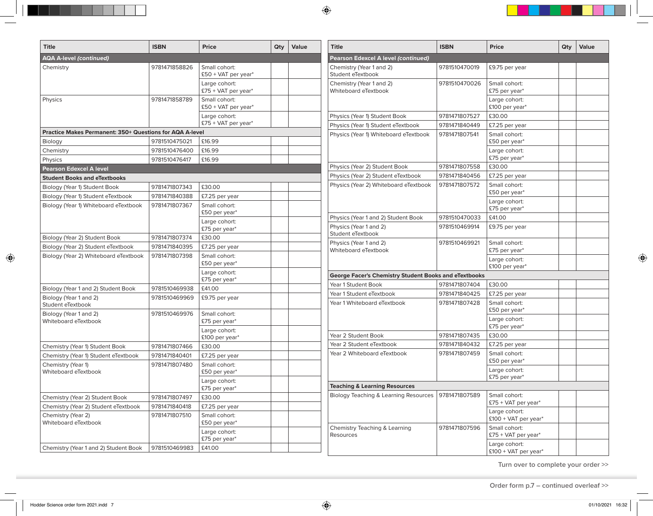| <b>Title</b>                                                    | <b>ISBN</b>                    | Price                                  | Qty | Value | <b>Title</b>                                                 | <b>ISBN</b>   | <b>Price</b>                          | Qty | Value |
|-----------------------------------------------------------------|--------------------------------|----------------------------------------|-----|-------|--------------------------------------------------------------|---------------|---------------------------------------|-----|-------|
| <b>AQA A-level (continued)</b>                                  |                                |                                        |     |       | Pearson Edexcel A level (continued)                          |               |                                       |     |       |
| Chemistry                                                       | 9781471858826                  | Small cohort:<br>$£50 + VAT$ per year* |     |       | Chemistry (Year 1 and 2)<br>Student eTextbook                | 9781510470019 | £9.75 per year                        |     |       |
|                                                                 |                                | Large cohort:<br>$£75 + VAT$ per year* |     |       | Chemistry (Year 1 and 2)<br>Whiteboard eTextbook             | 9781510470026 | Small cohort:<br>£75 per year*        |     |       |
| Physics                                                         | 9781471858789                  | Small cohort:<br>£50 + VAT per year*   |     |       |                                                              |               | Large cohort:<br>£100 per year*       |     |       |
|                                                                 |                                | Large cohort:                          |     |       | Physics (Year 1) Student Book                                | 9781471807527 | £30.00                                |     |       |
|                                                                 |                                | $£75 + VAT$ per year*                  |     |       | Physics (Year 1) Student eTextbook                           | 9781471840449 | £7.25 per year                        |     |       |
| <b>Practice Makes Permanent: 350+ Questions for AQA A-level</b> |                                |                                        |     |       | Physics (Year 1) Whiteboard eTextbook                        | 9781471807541 | Small cohort:                         |     |       |
| Biology                                                         | 9781510475021                  | £16.99<br>£16.99                       |     |       |                                                              |               | £50 per year*                         |     |       |
| Chemistry                                                       | 9781510476400<br>9781510476417 | £16.99                                 |     |       |                                                              |               | Large cohort:<br>£75 per year*        |     |       |
| Physics<br><b>Pearson Edexcel A level</b>                       |                                |                                        |     |       | Physics (Year 2) Student Book                                | 9781471807558 | £30.00                                |     |       |
| <b>Student Books and eTextbooks</b>                             |                                |                                        |     |       | Physics (Year 2) Student eTextbook                           | 9781471840456 | £7.25 per year                        |     |       |
| Biology (Year 1) Student Book                                   | 9781471807343                  | £30.00                                 |     |       | Physics (Year 2) Whiteboard eTextbook                        | 9781471807572 | Small cohort:                         |     |       |
| Biology (Year 1) Student eTextbook                              | 9781471840388                  | £7.25 per year                         |     |       |                                                              |               | £50 per year*                         |     |       |
| Biology (Year 1) Whiteboard eTextbook                           | 9781471807367                  | Small cohort:<br>£50 per year*         |     |       |                                                              |               | Large cohort:<br>£75 per year*        |     |       |
|                                                                 |                                | Large cohort:                          |     |       | Physics (Year 1 and 2) Student Book                          | 9781510470033 | £41.00                                |     |       |
|                                                                 |                                | £75 per year*                          |     |       | Physics (Year 1 and 2)<br>Student eTextbook                  | 9781510469914 | £9.75 per year                        |     |       |
| Biology (Year 2) Student Book                                   | 9781471807374                  | £30.00                                 |     |       | Physics (Year 1 and 2)                                       | 9781510469921 | Small cohort:                         |     |       |
| Biology (Year 2) Student eTextbook                              | 9781471840395                  | £7.25 per year                         |     |       | Whiteboard eTextbook                                         |               | £75 per year*                         |     |       |
| Biology (Year 2) Whiteboard eTextbook                           | 9781471807398                  | Small cohort:<br>£50 per year*         |     |       |                                                              |               | Large cohort:<br>£100 per year*       |     |       |
|                                                                 |                                | Large cohort:<br>£75 per year*         |     |       | <b>George Facer's Chemistry Student Books and eTextbooks</b> |               |                                       |     |       |
| Biology (Year 1 and 2) Student Book                             | 9781510469938                  | £41.00                                 |     |       | Year 1 Student Book                                          | 9781471807404 | £30.00                                |     |       |
| Biology (Year 1 and 2)                                          | 9781510469969                  | £9.75 per year                         |     |       | Year 1 Student eTextbook                                     | 9781471840425 | £7.25 per year                        |     |       |
| Student eTextbook                                               |                                |                                        |     |       | Year 1 Whiteboard eTextbook                                  | 9781471807428 | Small cohort:<br>£50 per year*        |     |       |
| Biology (Year 1 and 2)<br>Whiteboard eTextbook                  | 9781510469976                  | Small cohort:<br>£75 per year*         |     |       |                                                              |               | Large cohort:                         |     |       |
|                                                                 |                                | Large cohort:<br>£100 per year*        |     |       | Year 2 Student Book                                          | 9781471807435 | £75 per year*<br>£30.00               |     |       |
| Chemistry (Year 1) Student Book                                 | 9781471807466                  | £30.00                                 |     |       | Year 2 Student eTextbook                                     | 9781471840432 | £7.25 per year                        |     |       |
| Chemistry (Year 1) Student eTextbook                            | 9781471840401                  | £7.25 per year                         |     |       | Year 2 Whiteboard eTextbook                                  | 9781471807459 | Small cohort:                         |     |       |
| Chemistry (Year 1)                                              | 9781471807480                  | Small cohort:                          |     |       |                                                              |               | £50 per year*                         |     |       |
| Whiteboard eTextbook                                            |                                | £50 per year*                          |     |       |                                                              |               | Large cohort:                         |     |       |
|                                                                 |                                | Large cohort:                          |     |       |                                                              |               | £75 per year*                         |     |       |
|                                                                 |                                | £75 per year*                          |     |       | <b>Teaching &amp; Learning Resources</b>                     |               |                                       |     |       |
| Chemistry (Year 2) Student Book                                 | 9781471807497                  | £30.00                                 |     |       | Biology Teaching & Learning Resources                        | 9781471807589 | Small cohort:<br>£75 + VAT per year*  |     |       |
| Chemistry (Year 2) Student eTextbook                            | 9781471840418                  | £7.25 per year                         |     |       |                                                              |               | Large cohort:                         |     |       |
| Chemistry (Year 2)<br>Whiteboard eTextbook                      | 9781471807510                  | Small cohort:<br>£50 per year*         |     |       |                                                              |               | $£100 + VAT$ per year*                |     |       |
|                                                                 |                                | Large cohort:<br>£75 per year*         |     |       | Chemistry Teaching & Learning<br>Resources                   | 9781471807596 | Small cohort:<br>£75 + VAT per year*  |     |       |
| Chemistry (Year 1 and 2) Student Book                           | 9781510469983                  | £41.00                                 |     |       |                                                              |               | Large cohort:<br>£100 + VAT per year* |     |       |

**Turn over to complete your order >>**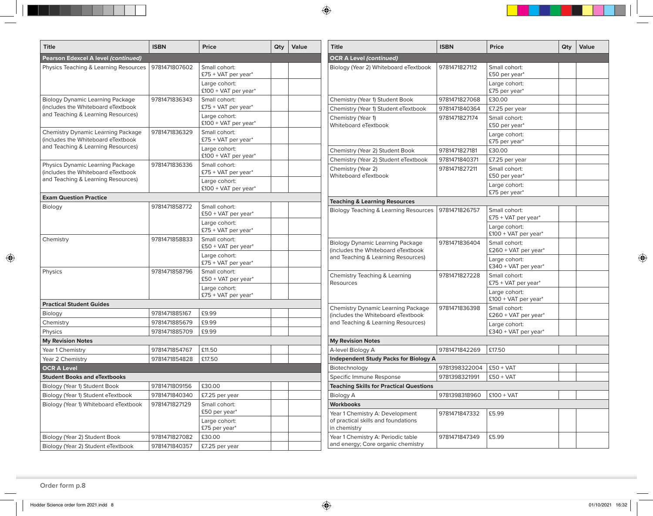| <b>Title</b>                                                             | <b>ISBN</b>            | <b>Price</b>                                        | Qty | Value                | <b>Title</b>                                                             | <b>ISBN</b>   | Price                                   | Qty | Value |
|--------------------------------------------------------------------------|------------------------|-----------------------------------------------------|-----|----------------------|--------------------------------------------------------------------------|---------------|-----------------------------------------|-----|-------|
| Pearson Edexcel A level (continued)                                      |                        |                                                     |     |                      | <b>OCR A Level (continued)</b>                                           |               |                                         |     |       |
| Physics Teaching & Learning Resources                                    | 9781471807602          | Small cohort:<br>$£75 + VAT$ per year*              |     |                      | Biology (Year 2) Whiteboard eTextbook                                    | 9781471827112 | Small cohort:<br>£50 per year*          |     |       |
|                                                                          |                        | Large cohort:<br>$£100 + VAT$ per year <sup>*</sup> |     |                      |                                                                          |               | Large cohort:<br>£75 per year*          |     |       |
| <b>Biology Dynamic Learning Package</b>                                  | 9781471836343          | Small cohort:                                       |     |                      | Chemistry (Year 1) Student Book                                          | 9781471827068 | £30.00                                  |     |       |
| (includes the Whiteboard eTextbook                                       |                        | £75 + VAT per year*                                 |     |                      | Chemistry (Year 1) Student eTextbook                                     | 9781471840364 | £7.25 per year                          |     |       |
| and Teaching & Learning Resources)                                       |                        | Large cohort:<br>$£100 + VAT$ per year*             |     |                      | Chemistry (Year 1)<br>Whiteboard eTextbook                               | 9781471827174 | Small cohort:<br>£50 per year*          |     |       |
| Chemistry Dynamic Learning Package<br>(includes the Whiteboard eTextbook | 9781471836329          | Small cohort:<br>£75 + VAT per year*                |     |                      |                                                                          |               | Large cohort:<br>£75 per year*          |     |       |
| and Teaching & Learning Resources)                                       |                        | Large cohort:                                       |     |                      | Chemistry (Year 2) Student Book                                          | 9781471827181 | £30.00                                  |     |       |
|                                                                          |                        | $£100 + VAT$ per year*                              |     |                      | Chemistry (Year 2) Student eTextbook                                     | 9781471840371 | £7.25 per year                          |     |       |
| Physics Dynamic Learning Package<br>(includes the Whiteboard eTextbook   | 9781471836336          | Small cohort:<br>£75 + VAT per year*                |     |                      | Chemistry (Year 2)<br>Whiteboard eTextbook                               | 9781471827211 | Small cohort:<br>£50 per year*          |     |       |
| and Teaching & Learning Resources)                                       |                        | Large cohort:<br>$£100 + VAT$ per year <sup>*</sup> |     |                      |                                                                          |               | Large cohort:<br>£75 per year*          |     |       |
| <b>Exam Question Practice</b>                                            |                        |                                                     |     |                      | <b>Teaching &amp; Learning Resources</b>                                 |               |                                         |     |       |
| Biology                                                                  | 9781471858772          | Small cohort:<br>£50 + VAT per year*                |     |                      | Biology Teaching & Learning Resources                                    | 9781471826757 | Small cohort:<br>£75 + VAT per year*    |     |       |
|                                                                          |                        | Large cohort:<br>£75 + VAT per year*                |     |                      |                                                                          |               | Large cohort:<br>£100 + VAT per year*   |     |       |
| Chemistry                                                                | 9781471858833          | Small cohort:                                       |     |                      | <b>Biology Dynamic Learning Package</b>                                  | 9781471836404 | Small cohort:                           |     |       |
| £50 + VAT per year*<br>Large cohort:                                     |                        | (includes the Whiteboard eTextbook                  |     | £260 + VAT per year* |                                                                          |               |                                         |     |       |
|                                                                          |                        | £75 + VAT per year*                                 |     |                      | and Teaching & Learning Resources)                                       |               | Large cohort:<br>£340 + VAT per year*   |     |       |
| Physics                                                                  | 9781471858796          | Small cohort:<br>£50 + VAT per year*                |     |                      | Chemistry Teaching & Learning<br>Resources                               | 9781471827228 | Small cohort:<br>£75 + VAT per year $*$ |     |       |
|                                                                          |                        | Large cohort:<br>£75 + VAT per year*                |     |                      |                                                                          |               | Large cohort:<br>$£100 + VAT$ per year* |     |       |
| <b>Practical Student Guides</b>                                          |                        |                                                     |     |                      | <b>Chemistry Dynamic Learning Package</b>                                | 9781471836398 | Small cohort:                           |     |       |
| Biology                                                                  | 9781471885167          | £9.99                                               |     |                      | (includes the Whiteboard eTextbook                                       |               | £260 + VAT per year*                    |     |       |
| Chemistry                                                                | 9781471885679          | £9.99                                               |     |                      | and Teaching & Learning Resources)                                       |               | Large cohort:                           |     |       |
| Physics                                                                  | 9781471885709          | £9.99                                               |     |                      |                                                                          |               | £340 + VAT per year $*$                 |     |       |
| <b>My Revision Notes</b>                                                 |                        |                                                     |     |                      | <b>My Revision Notes</b>                                                 |               |                                         |     |       |
| Year 1 Chemistry                                                         | 9781471854767          | £11.50                                              |     |                      | A-level Biology A                                                        | 9781471842269 | £17.50                                  |     |       |
| Year 2 Chemistry                                                         | 9781471854828          | £17.50                                              |     |                      | <b>Independent Study Packs for Biology A</b>                             |               |                                         |     |       |
| <b>OCR A Level</b>                                                       |                        |                                                     |     |                      | Biotechnology                                                            | 9781398322004 | $£50 + VAT$                             |     |       |
| <b>Student Books and eTextbooks</b>                                      |                        |                                                     |     |                      | Specific Immune Response                                                 | 9781398321991 | $£50 + VAT$                             |     |       |
| Biology (Year 1) Student Book                                            | 9781471809156   £30.00 |                                                     |     |                      | <b>Teaching Skills for Practical Questions</b>                           |               |                                         |     |       |
| Biology (Year 1) Student eTextbook                                       | 9781471840340          | £7.25 per year                                      |     |                      | Biology A                                                                | 9781398318960 | $\vert$ £100 + VAT                      |     |       |
| Biology (Year 1) Whiteboard eTextbook                                    | 9781471827129          | Small cohort:                                       |     |                      | <b>Workbooks</b>                                                         |               |                                         |     |       |
|                                                                          |                        | £50 per year*<br>Large cohort:                      |     |                      | Year 1 Chemistry A: Development<br>of practical skills and foundations   | 9781471847332 | £5.99                                   |     |       |
|                                                                          |                        | £75 per year*                                       |     |                      | in chemistry                                                             |               |                                         |     |       |
| Biology (Year 2) Student Book                                            | 9781471827082          | £30.00                                              |     |                      | Year 1 Chemistry A: Periodic table<br>and energy; Core organic chemistry | 9781471847349 | £5.99                                   |     |       |
| Biology (Year 2) Student eTextbook                                       | 9781471840357          | £7.25 per year                                      |     |                      |                                                                          |               |                                         |     |       |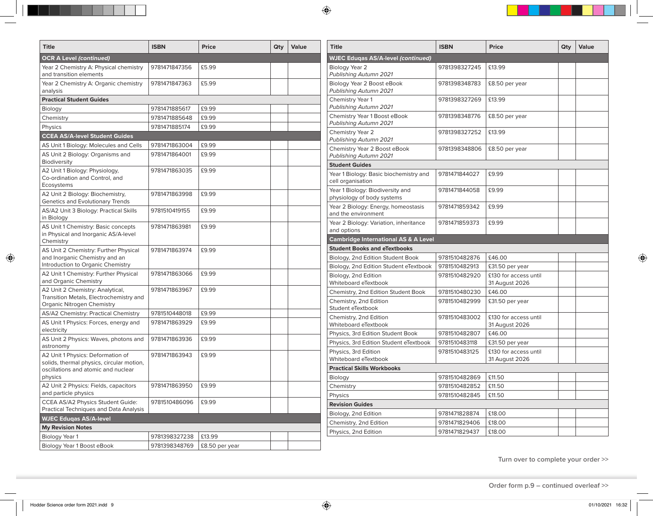| <b>Title</b>                                                                   | <b>ISBN</b>   | <b>Price</b>   | Qty | Value | <b>Title</b>                                                   | <b>ISBN</b>   | <b>Price</b>                            | Qty | Value |
|--------------------------------------------------------------------------------|---------------|----------------|-----|-------|----------------------------------------------------------------|---------------|-----------------------------------------|-----|-------|
| <b>OCR A Level (continued)</b>                                                 |               |                |     |       | <b>WJEC Eduqas AS/A-level (continued)</b>                      |               |                                         |     |       |
| Year 2 Chemistry A: Physical chemistry<br>and transition elements              | 9781471847356 | £5.99          |     |       | Biology Year 2<br>Publishing Autumn 2021                       | 9781398327245 | £13.99                                  |     |       |
| Year 2 Chemistry A: Organic chemistry<br>analysis                              | 9781471847363 | £5.99          |     |       | Biology Year 2 Boost eBook<br>Publishing Autumn 2021           | 9781398348783 | £8.50 per year                          |     |       |
| <b>Practical Student Guides</b>                                                |               |                |     |       | Chemistry Year 1                                               | 9781398327269 | £13.99                                  |     |       |
| Biology                                                                        | 9781471885617 | £9.99          |     |       | Publishing Autumn 2021                                         |               |                                         |     |       |
| Chemistry                                                                      | 9781471885648 | £9.99          |     |       | Chemistry Year 1 Boost eBook                                   | 9781398348776 | £8.50 per year                          |     |       |
| Physics                                                                        | 9781471885174 | £9.99          |     |       | Publishing Autumn 2021                                         |               |                                         |     |       |
| <b>CCEA AS/A-level Student Guides</b>                                          |               |                |     |       | Chemistry Year 2<br>Publishing Autumn 2021                     | 9781398327252 | £13.99                                  |     |       |
| AS Unit 1 Biology: Molecules and Cells                                         | 9781471863004 | £9.99          |     |       | Chemistry Year 2 Boost eBook                                   | 9781398348806 | £8.50 per year                          |     |       |
| AS Unit 2 Biology: Organisms and<br>Biodiversity                               | 9781471864001 | £9.99          |     |       | Publishing Autumn 2021                                         |               |                                         |     |       |
| A2 Unit 1 Biology: Physiology,                                                 | 9781471863035 | £9.99          |     |       | <b>Student Guides</b>                                          |               |                                         |     |       |
| Co-ordination and Control, and<br>Ecosystems                                   |               |                |     |       | Year 1 Biology: Basic biochemistry and<br>cell organisation    | 9781471844027 | £9.99                                   |     |       |
| A2 Unit 2 Biology: Biochemistry,<br>Genetics and Evolutionary Trends           | 9781471863998 | £9.99          |     |       | Year 1 Biology: Biodiversity and<br>physiology of body systems | 9781471844058 | £9.99                                   |     |       |
| AS/A2 Unit 3 Biology: Practical Skills                                         | 9781510419155 | £9.99          |     |       | Year 2 Biology: Energy, homeostasis<br>and the environment     | 9781471859342 | £9.99                                   |     |       |
| in Biology<br>AS Unit 1 Chemistry: Basic concepts                              | 9781471863981 | £9.99          |     |       | Year 2 Biology: Variation, inheritance<br>and options          | 9781471859373 | £9.99                                   |     |       |
| in Physical and Inorganic AS/A-level                                           |               |                |     |       | <b>Cambridge International AS &amp; A Level</b>                |               |                                         |     |       |
| Chemistry<br>AS Unit 2 Chemistry: Further Physical                             |               |                |     |       | <b>Student Books and eTextbooks</b>                            |               |                                         |     |       |
| and Inorganic Chemistry and an                                                 | 9781471863974 | £9.99          |     |       | Biology, 2nd Edition Student Book                              | 9781510482876 | £46.00                                  |     |       |
| Introduction to Organic Chemistry                                              |               |                |     |       | Biology, 2nd Edition Student eTextbook                         | 9781510482913 | £31.50 per year                         |     |       |
| A2 Unit 1 Chemistry: Further Physical                                          | 9781471863066 | £9.99          |     |       | Biology, 2nd Edition                                           | 9781510482920 | £130 for access until                   |     |       |
| and Organic Chemistry                                                          |               |                |     |       | Whiteboard eTextbook                                           |               | 31 August 2026                          |     |       |
| A2 Unit 2 Chemistry: Analytical,                                               | 9781471863967 | £9.99          |     |       | Chemistry, 2nd Edition Student Book                            | 9781510480230 | £46.00                                  |     |       |
| Transition Metals, Electrochemistry and<br>Organic Nitrogen Chemistry          |               |                |     |       | Chemistry, 2nd Edition<br>Student eTextbook                    | 9781510482999 | £31.50 per year                         |     |       |
| AS/A2 Chemistry: Practical Chemistry                                           | 9781510448018 | £9.99          |     |       | Chemistry, 2nd Edition                                         | 9781510483002 | £130 for access until                   |     |       |
| AS Unit 1 Physics: Forces, energy and<br>electricity                           | 9781471863929 | £9.99          |     |       | Whiteboard eTextbook                                           |               | 31 August 2026                          |     |       |
| AS Unit 2 Physics: Waves, photons and                                          | 9781471863936 | £9.99          |     |       | Physics, 3rd Edition Student Book                              | 9781510482807 | £46.00                                  |     |       |
| astronomy                                                                      |               |                |     |       | Physics, 3rd Edition Student eTextbook                         | 9781510483118 | £31.50 per year                         |     |       |
| A2 Unit 1 Physics: Deformation of<br>solids, thermal physics, circular motion, | 9781471863943 | £9.99          |     |       | Physics, 3rd Edition<br>Whiteboard eTextbook                   | 9781510483125 | £130 for access until<br>31 August 2026 |     |       |
| oscillations and atomic and nuclear                                            |               |                |     |       | <b>Practical Skills Workbooks</b>                              |               |                                         |     |       |
| physics                                                                        |               |                |     |       | Biology                                                        | 9781510482869 | £11.50                                  |     |       |
| A2 Unit 2 Physics: Fields, capacitors                                          | 9781471863950 | £9.99          |     |       | Chemistry                                                      | 9781510482852 | £11.50                                  |     |       |
| and particle physics                                                           |               |                |     |       | Physics                                                        | 9781510482845 | £11.50                                  |     |       |
| CCEA AS/A2 Physics Student Guide:<br>Practical Techniques and Data Analysis    | 9781510486096 | £9.99          |     |       | <b>Revision Guides</b>                                         |               |                                         |     |       |
| <b>WJEC Eduqas AS/A-level</b>                                                  |               |                |     |       | Biology, 2nd Edition                                           | 9781471828874 | £18.00                                  |     |       |
| <b>My Revision Notes</b>                                                       |               |                |     |       | Chemistry, 2nd Edition                                         | 9781471829406 | £18.00                                  |     |       |
| Biology Year 1                                                                 | 9781398327238 | £13.99         |     |       | Physics, 2nd Edition                                           | 9781471829437 | £18.00                                  |     |       |
| Biology Year 1 Boost eBook                                                     | 9781398348769 | £8.50 per year |     |       |                                                                |               |                                         |     |       |
|                                                                                |               |                |     |       |                                                                |               |                                         |     |       |

**Turn over to complete your order >>**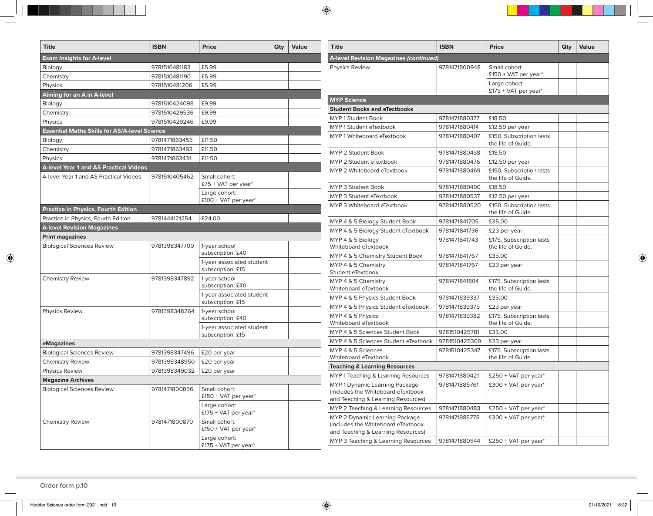| <b>Title</b>                                         | <b>ISBN</b>   | Price                                   | Qty | Value | <b>Title</b>                                                         | <b>ISBN</b>                    | <b>Price</b>                                | Qty | Value |
|------------------------------------------------------|---------------|-----------------------------------------|-----|-------|----------------------------------------------------------------------|--------------------------------|---------------------------------------------|-----|-------|
| <b>Exam Insights for A-level</b>                     |               |                                         |     |       | A-level Revision Magazines (continued)                               |                                |                                             |     |       |
| Biology                                              | 9781510481183 | £5.99                                   |     |       | Physics Review                                                       | 9781471800948                  | Small cohort:                               |     |       |
| Chemistry                                            | 9781510481190 | £5.99                                   |     |       |                                                                      |                                | £150 + VAT per year*                        |     |       |
| Physics                                              | 9781510481206 | £5.99                                   |     |       |                                                                      |                                | Large cohort:                               |     |       |
| Aiming for an A in A-level                           |               |                                         |     |       |                                                                      |                                | £175 + VAT per year*                        |     |       |
| Biology                                              | 9781510424098 | £9.99                                   |     |       | <b>MYP Science</b>                                                   |                                |                                             |     |       |
| Chemistry                                            | 9781510429536 | £9.99                                   |     |       | <b>Student Books and eTextbooks</b>                                  |                                |                                             |     |       |
| Physics                                              | 9781510429246 | £9.99                                   |     |       | <b>MYP 1 Student Book</b>                                            | 9781471880377<br>9781471880414 | £18.50                                      |     |       |
| <b>Essential Maths Skills for AS/A-level Science</b> |               |                                         |     |       | MYP 1 Student eTextbook                                              |                                | £12.50 per year<br>£150. Subscription lasts |     |       |
| Biology                                              | 9781471863455 | £11.50                                  |     |       | MYP 1 Whiteboard eTextbook                                           | 9781471880407                  | the life of Guide.                          |     |       |
| Chemistry                                            | 9781471863493 | £11.50                                  |     |       | MYP 2 Student Book                                                   | 9781471880438                  | £18.50                                      |     |       |
| Physics                                              | 9781471863431 | £11.50                                  |     |       | MYP 2 Student eTextbook                                              | 9781471880476                  | £12.50 per year                             |     |       |
| <b>A-level Year 1 and AS Practical Videos</b>        |               |                                         |     |       | MYP 2 Whiteboard eTextbook                                           | 9781471880469                  | £150. Subscription lasts                    |     |       |
| A-level Year 1 and AS Practical Videos               | 9781510405462 | Small cohort:                           |     |       |                                                                      |                                | the life of Guide.                          |     |       |
|                                                      |               | £75 + VAT per year*                     |     |       | MYP 3 Student Book                                                   | 9781471880490                  | £18.50                                      |     |       |
|                                                      |               | Large cohort:<br>$£100 + VAT$ per year* |     |       | MYP 3 Student eTextbook                                              | 9781471880537                  | £12.50 per year                             |     |       |
| <b>Practice in Physics, Fourth Edition</b>           |               |                                         |     |       | MYP 3 Whiteboard eTextbook                                           | 9781471880520                  | £150. Subscription lasts                    |     |       |
| Practice in Physics, Fourth Edition                  | 9781444121254 | £24.00                                  |     |       |                                                                      |                                | the life of Guide.                          |     |       |
| <b>A-level Revision Magazines</b>                    |               |                                         |     |       | MYP 4 & 5 Biology Student Book                                       | 9781471841705                  | £35.00                                      |     |       |
| <b>Print magazines</b>                               |               |                                         |     |       | MYP 4 & 5 Biology Student eTextbook                                  | 9781471841736                  | £23 per year                                |     |       |
| <b>Biological Sciences Review</b>                    | 9781398347700 | 1-year school                           |     |       | MYP 4 & 5 Biology                                                    | 9781471841743                  | £175. Subscription lasts                    |     |       |
|                                                      |               | subscription: £40                       |     |       | Whiteboard eTextbook                                                 |                                | the life of Guide.                          |     |       |
|                                                      |               | 1-year associated student               |     |       | MYP 4 & 5 Chemistry Student Book                                     | 9781471841767                  | £35.00                                      |     |       |
|                                                      |               | subscription: £15                       |     |       | MYP 4 & 5 Chemistry<br>Student eTextbook                             | 9781471841767                  | £23 per year                                |     |       |
| <b>Chemistry Review</b>                              | 9781398347892 | 1-year school                           |     |       | MYP 4 & 5 Chemistry                                                  | 9781471841804                  | £175. Subscription lasts                    |     |       |
|                                                      |               | subscription: £40                       |     |       | Whiteboard eTextbook                                                 |                                | the life of Guide.                          |     |       |
|                                                      |               | 1-year associated student               |     |       | MYP 4 & 5 Physics Student Book                                       | 9781471839337                  | £35.00                                      |     |       |
| <b>Physics Review</b>                                | 9781398348264 | subscription: £15<br>1-year school      |     |       | MYP 4 & 5 Physics Student eTextbook                                  | 9781471839375                  | £23 per year                                |     |       |
|                                                      |               | subscription: £40                       |     |       | MYP 4 & 5 Physics                                                    | 9781471839382                  | £175. Subscription lasts                    |     |       |
|                                                      |               | 1-year associated student               |     |       | Whiteboard eTextbook                                                 |                                | the life of Guide.                          |     |       |
|                                                      |               | subscription: £15                       |     |       | MYP 4 & 5 Sciences Student Book                                      | 9781510425781                  | £35.00                                      |     |       |
| eMagazines                                           |               |                                         |     |       | MYP 4 & 5 Sciences Student eTextbook                                 | 9781510425309                  | £23 per year                                |     |       |
| <b>Biological Sciences Review</b>                    | 9781398347496 | £20 per year                            |     |       | MYP 4 & 5 Sciences                                                   | 9781510425347                  | £175. Subscription lasts                    |     |       |
| <b>Chemistry Review</b>                              | 9781398348950 | £20 per year                            |     |       | Whiteboard eTextbook                                                 |                                | the life of Guide.                          |     |       |
| <b>Physics Review</b>                                | 9781398349032 | £20 per year                            |     |       | <b>Teaching &amp; Learning Resources</b>                             |                                |                                             |     |       |
| <b>Magazine Archives</b>                             |               |                                         |     |       | MYP 1 Teaching & Learning Resources                                  | 9781471880421                  | £250 + VAT per year*                        |     |       |
| <b>Biological Sciences Review</b>                    | 9781471800856 | Small cohort:                           |     |       | MYP 1 Dynamic Learning Package<br>(includes the Whiteboard eTextbook | 9781471885761                  | £300 + VAT per year*                        |     |       |
|                                                      |               | £150 + VAT per year*                    |     |       | and Teaching & Learning Resources)                                   |                                |                                             |     |       |
|                                                      |               | Large cohort:                           |     |       | MYP 2 Teaching & Learning Resources                                  | 9781471880483                  | $£250 + VAT$ per year*                      |     |       |
|                                                      |               | £175 + VAT per year*                    |     |       | MYP 2 Dynamic Learning Package                                       | 9781471885778                  | $£300 + VAT$ per year*                      |     |       |
| <b>Chemistry Review</b>                              | 9781471800870 | Small cohort:<br>£150 + VAT per year*   |     |       | (includes the Whiteboard eTextbook                                   |                                |                                             |     |       |
|                                                      |               | Large cohort:                           |     |       | and Teaching & Learning Resources)                                   |                                |                                             |     |       |
|                                                      |               | £175 + VAT per year*                    |     |       | MYP 3 Teaching & Learning Resources                                  | 9781471880544                  | £250 + VAT per year*                        |     |       |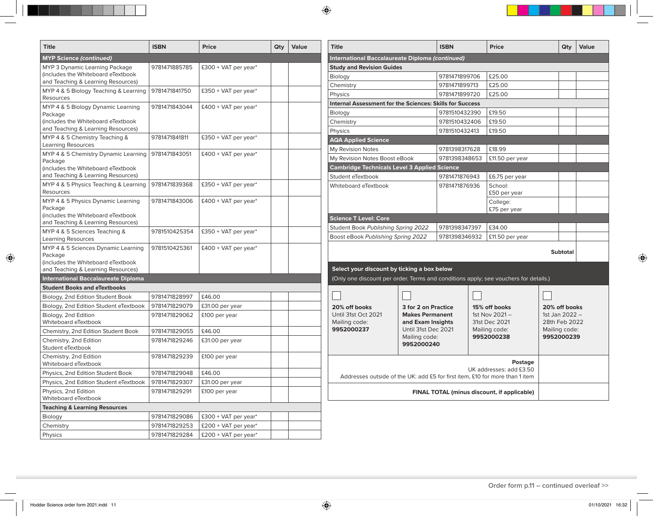| <b>Title</b>                                                             | <b>ISBN</b>   | <b>Price</b>           | Qty | Value | <b>Title</b>                                                                         |                                             | <b>ISBN</b>   | Price                                       | Qty                             | Value |
|--------------------------------------------------------------------------|---------------|------------------------|-----|-------|--------------------------------------------------------------------------------------|---------------------------------------------|---------------|---------------------------------------------|---------------------------------|-------|
| <b>MYP Science (continued)</b>                                           |               |                        |     |       | International Baccalaureate Diploma (continued)                                      |                                             |               |                                             |                                 |       |
| MYP 3 Dynamic Learning Package                                           | 9781471885785 | £300 + VAT per year*   |     |       | <b>Study and Revision Guides</b>                                                     |                                             |               |                                             |                                 |       |
| (includes the Whiteboard eTextbook                                       |               |                        |     |       | Biology                                                                              |                                             | 9781471899706 | £25.00                                      |                                 |       |
| and Teaching & Learning Resources)                                       |               |                        |     |       | Chemistry                                                                            |                                             | 9781471899713 | £25.00                                      |                                 |       |
| MYP 4 & 5 Biology Teaching & Learning<br><b>Resources</b>                | 9781471841750 | £350 + VAT per year*   |     |       | Physics                                                                              |                                             | 9781471899720 | £25.00                                      |                                 |       |
| MYP 4 & 5 Biology Dynamic Learning                                       | 9781471843044 | £400 + VAT per year*   |     |       | Internal Assessment for the Sciences: Skills for Success                             |                                             |               |                                             |                                 |       |
| Package                                                                  |               |                        |     |       | Biology                                                                              |                                             | 9781510432390 | £19.50                                      |                                 |       |
| (includes the Whiteboard eTextbook                                       |               |                        |     |       | Chemistry                                                                            |                                             | 9781510432406 | £19.50                                      |                                 |       |
| and Teaching & Learning Resources)                                       |               |                        |     |       | Physics                                                                              |                                             | 9781510432413 | £19.50                                      |                                 |       |
| MYP 4 & 5 Chemistry Teaching &<br>Learning Resources                     | 9781471841811 | £350 + VAT per year*   |     |       | <b>AQA Applied Science</b>                                                           |                                             |               |                                             |                                 |       |
| MYP 4 & 5 Chemistry Dynamic Learning                                     | 9781471843051 | £400 + VAT per year*   |     |       | My Revision Notes                                                                    |                                             | 9781398317628 | £18.99                                      |                                 |       |
| Package                                                                  |               |                        |     |       | My Revision Notes Boost eBook                                                        |                                             | 9781398348653 | £11.50 per year                             |                                 |       |
| (includes the Whiteboard eTextbook                                       |               |                        |     |       | <b>Cambridge Technicals Level 3 Applied Science</b>                                  |                                             |               |                                             |                                 |       |
| and Teaching & Learning Resources)                                       |               |                        |     |       | Student eTextbook                                                                    |                                             | 9781471876943 | £6.75 per year                              |                                 |       |
| MYP 4 & 5 Physics Teaching & Learning<br>Resources                       | 9781471839368 | £350 + VAT per year*   |     |       | Whiteboard eTextbook                                                                 |                                             | 9781471876936 | School:<br>£50 per year                     |                                 |       |
| MYP 4 & 5 Physics Dynamic Learning<br>Package                            | 9781471843006 | $£400 + VAT$ per year* |     |       |                                                                                      |                                             |               | College:<br>£75 per year                    |                                 |       |
| lincludes the Whiteboard eTextbook                                       |               |                        |     |       | <b>Science T Level: Core</b>                                                         |                                             |               |                                             |                                 |       |
| and Teaching & Learning Resources)                                       |               |                        |     |       | Student Book Publishing Spring 2022                                                  |                                             | 9781398347397 | £34.00                                      |                                 |       |
| MYP 4 & 5 Sciences Teaching &<br>Learning Resources                      | 9781510425354 | £350 + VAT per year*   |     |       | Boost eBook Publishing Spring 2022                                                   |                                             | 9781398346932 | £11.50 per year                             |                                 |       |
| MYP 4 & 5 Sciences Dynamic Learning                                      | 9781510425361 | $£400 + VAT$ per year* |     |       |                                                                                      |                                             |               |                                             | <b>Subtotal</b>                 |       |
| Package                                                                  |               |                        |     |       |                                                                                      |                                             |               |                                             |                                 |       |
| (includes the Whiteboard eTextbook<br>and Teaching & Learning Resources) |               |                        |     |       | Select your discount by ticking a box below                                          |                                             |               |                                             |                                 |       |
| <b>International Baccalaureate Diploma</b>                               |               |                        |     |       | (Only one discount per order. Terms and conditions apply; see vouchers for details.) |                                             |               |                                             |                                 |       |
| <b>Student Books and eTextbooks</b>                                      |               |                        |     |       |                                                                                      |                                             |               |                                             |                                 |       |
| Biology, 2nd Edition Student Book                                        | 9781471828997 | £46.00                 |     |       |                                                                                      |                                             |               |                                             |                                 |       |
| Biology, 2nd Edition Student eTextbook                                   | 9781471829079 | £31.00 per year        |     |       | 20% off books                                                                        | 3 for 2 on Practice                         |               | 15% off books                               | 20% off books                   |       |
| Biology, 2nd Edition<br>Whiteboard eTextbook                             | 9781471829062 | £100 per year          |     |       | Until 31st Oct 2021<br>Mailing code:                                                 | <b>Makes Permanent</b><br>and Exam Insights |               | 1st Nov 2021-<br>31st Dec 2021              | 1st Jan 2022 -<br>28th Feb 2022 |       |
| Chemistry, 2nd Edition Student Book                                      | 9781471829055 | £46.00                 |     |       | 9952000237                                                                           | Until 31st Dec 2021                         |               | Mailing code:                               | Mailing code:                   |       |
| Chemistry, 2nd Edition<br>Student eTextbook                              | 9781471829246 | £31.00 per year        |     |       |                                                                                      | Mailing code:<br>9952000240                 |               | 9952000238                                  | 9952000239                      |       |
| Chemistry, 2nd Edition<br>Whiteboard eTextbook                           | 9781471829239 | £100 per year          |     |       |                                                                                      |                                             |               | Postage                                     |                                 |       |
| Physics, 2nd Edition Student Book                                        | 9781471829048 | £46.00                 |     |       |                                                                                      |                                             |               | UK addresses: add £3.50                     |                                 |       |
| Physics, 2nd Edition Student eTextbook                                   | 9781471829307 | £31.00 per year        |     |       | Addresses outside of the UK: add £5 for first item, £10 for more than 1 item         |                                             |               |                                             |                                 |       |
| Physics, 2nd Edition                                                     | 9781471829291 | £100 per year          |     |       |                                                                                      |                                             |               | FINAL TOTAL (minus discount, if applicable) |                                 |       |
| Whiteboard eTextbook                                                     |               |                        |     |       |                                                                                      |                                             |               |                                             |                                 |       |
| <b>Teaching &amp; Learning Resources</b>                                 |               |                        |     |       |                                                                                      |                                             |               |                                             |                                 |       |
| Biology                                                                  | 9781471829086 | £300 + VAT per year*   |     |       |                                                                                      |                                             |               |                                             |                                 |       |
| Chemistry                                                                | 9781471829253 | £200 + VAT per year*   |     |       |                                                                                      |                                             |               |                                             |                                 |       |
| Physics                                                                  | 9781471829284 | £200 + VAT per year*   |     |       |                                                                                      |                                             |               |                                             |                                 |       |